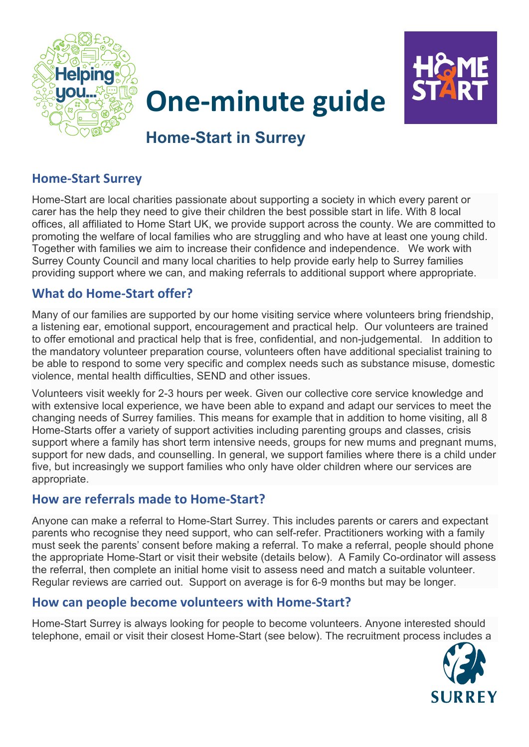



# **One-minute guide**

# **Home-Start in Surrey**

### **Home-Start Surrey**

Home-Start are local charities passionate about supporting a society in which every parent or carer has the help they need to give their children the best possible start in life. With 8 local offices, all affiliated to Home Start UK, we provide support across the county. We are committed to promoting the welfare of local families who are struggling and who have at least one young child. Together with families we aim to increase their confidence and independence. We work with Surrey County Council and many local charities to help provide early help to Surrey families providing support where we can, and making referrals to additional support where appropriate.

## **What do Home-Start offer?**

Many of our families are supported by our home visiting service where volunteers bring friendship, a listening ear, emotional support, encouragement and practical help. Our volunteers are trained to offer emotional and practical help that is free, confidential, and non-judgemental. In addition to the mandatory volunteer preparation course, volunteers often have additional specialist training to be able to respond to some very specific and complex needs such as substance misuse, domestic violence, mental health difficulties, SEND and other issues.

Volunteers visit weekly for 2-3 hours per week. Given our collective core service knowledge and with extensive local experience, we have been able to expand and adapt our services to meet the changing needs of Surrey families. This means for example that in addition to home visiting, all 8 Home-Starts offer a variety of support activities including parenting groups and classes, crisis support where a family has short term intensive needs, groups for new mums and pregnant mums, support for new dads, and counselling. In general, we support families where there is a child under five, but increasingly we support families who only have older children where our services are appropriate.

#### **How are referrals made to Home-Start?**

Anyone can make a referral to Home-Start Surrey. This includes parents or carers and expectant parents who recognise they need support, who can self-refer. Practitioners working with a family must seek the parents' consent before making a referral. To make a referral, people should phone the appropriate Home-Start or visit their website (details below). A Family Co-ordinator will assess the referral, then complete an initial home visit to assess need and match a suitable volunteer. Regular reviews are carried out. Support on average is for 6-9 months but may be longer.

### **How can people become volunteers with Home-Start?**

Home-Start Surrey is always looking for people to become volunteers. Anyone interested should telephone, email or visit their closest Home-Start (see below). The recruitment process includes a